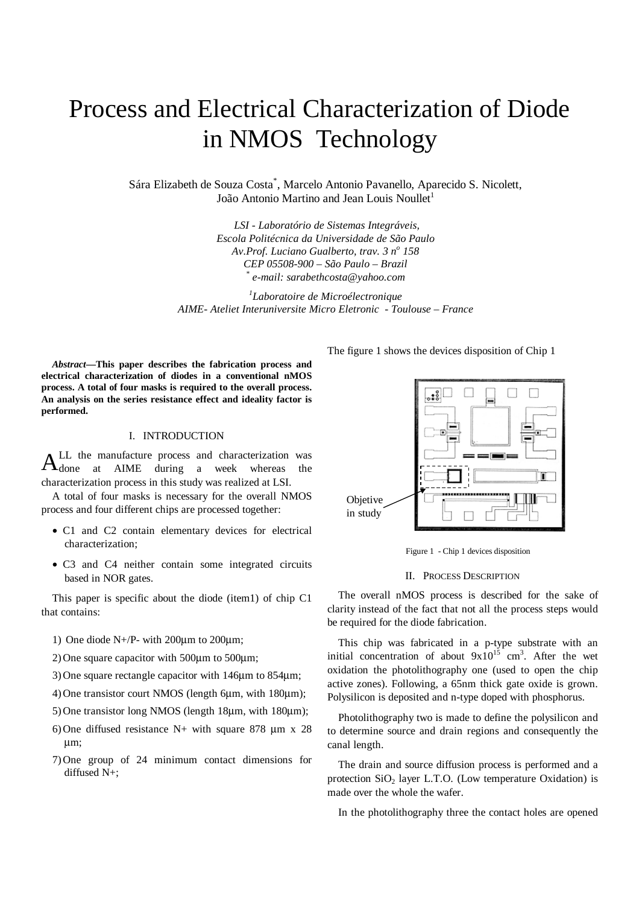# Process and Electrical Characterization of Diode in NMOS Technology

Sára Elizabeth de Souza Costa\* , Marcelo Antonio Pavanello, Aparecido S. Nicolett, João Antonio Martino and Jean Louis Noullet<sup>1</sup>

> *LSI - Laboratório de Sistemas Integráveis, Escola Politécnica da Universidade de São Paulo Av.Prof. Luciano Gualberto, trav. 3 n<sup>o</sup> 158 CEP 05508-900 – São Paulo – Brazil \* e-mail: sarabethcosta@yahoo.com*

*1 Laboratoire de Microélectronique AIME- Ateliet Interuniversite Micro Eletronic - Toulouse – France*

*Abstract***—This paper describes the fabrication process and electrical characterization of diodes in a conventional nMOS process. A total of four masks is required to the overall process. An analysis on the series resistance effect and ideality factor is performed.**

## I. INTRODUCTION

LL the manufacture process and characterization was done at AIME during a week whereas the characterization process in this study was realized at LSI. A

A total of four masks is necessary for the overall NMOS process and four different chips are processed together:

- C1 and C2 contain elementary devices for electrical characterization;
- C3 and C4 neither contain some integrated circuits based in NOR gates.

This paper is specific about the diode (item1) of chip C1 that contains:

1) One diode N+/P- with 200µm to 200µm;

2) One square capacitor with  $500\mu$ m to  $500\mu$ m;

3)One square rectangle capacitor with 146µm to 854µm;

4)One transistor court NMOS (length 6µm, with 180µm);

- 5)One transistor long NMOS (length 18µm, with 180µm);
- 6) One diffused resistance N+ with square 878  $\mu$ m x 28 µm;
- 7)One group of 24 minimum contact dimensions for diffused N+;

The figure 1 shows the devices disposition of Chip 1



Figure 1 - Chip 1 devices disposition

#### II. PROCESS DESCRIPTION

The overall nMOS process is described for the sake of clarity instead of the fact that not all the process steps would be required for the diode fabrication.

This chip was fabricated in a p-type substrate with an initial concentration of about  $9x10^{15}$  cm<sup>3</sup>. After the wet oxidation the photolithography one (used to open the chip active zones). Following, a 65nm thick gate oxide is grown. Polysilicon is deposited and n-type doped with phosphorus.

Photolithography two is made to define the polysilicon and to determine source and drain regions and consequently the canal length.

 The drain and source diffusion process is performed and a protection  $SiO<sub>2</sub>$  layer L.T.O. (Low temperature Oxidation) is made over the whole the wafer.

In the photolithography three the contact holes are opened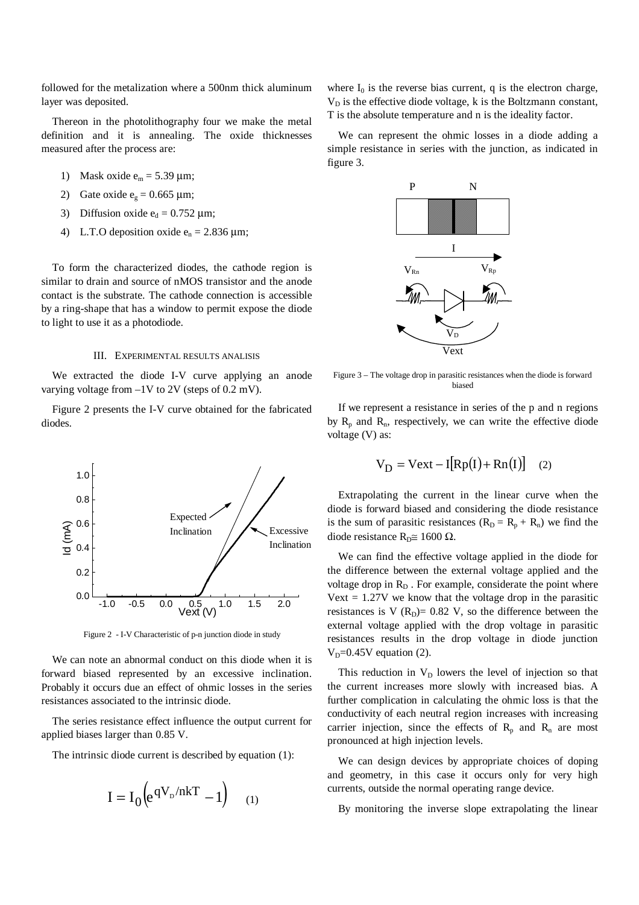followed for the metalization where a 500nm thick aluminum layer was deposited.

Thereon in the photolithography four we make the metal definition and it is annealing. The oxide thicknesses measured after the process are:

- 1) Mask oxide  $e_m = 5.39 \text{ }\mu\text{m}$ ;
- 2) Gate oxide  $e_g = 0.665 \text{ }\mu\text{m}$ ;
- 3) Diffusion oxide  $e_d = 0.752 \text{ }\mu\text{m}$ ;
- 4) L.T.O deposition oxide  $e_n = 2.836 \,\mu\text{m}$ ;

To form the characterized diodes, the cathode region is similar to drain and source of nMOS transistor and the anode contact is the substrate. The cathode connection is accessible by a ring-shape that has a window to permit expose the diode to light to use it as a photodiode.

### III. EXPERIMENTAL RESULTS ANALISIS

We extracted the diode I-V curve applying an anode varying voltage from –1V to 2V (steps of 0.2 mV).

Figure 2 presents the I-V curve obtained for the fabricated diodes.



Figure 2 - I-V Characteristic of p-n junction diode in study

We can note an abnormal conduct on this diode when it is forward biased represented by an excessive inclination. Probably it occurs due an effect of ohmic losses in the series resistances associated to the intrinsic diode.

The series resistance effect influence the output current for applied biases larger than 0.85 V.

The intrinsic diode current is described by equation (1):

$$
I = I_0 \left( e^{qV_D/nkT} - 1 \right) \quad (1)
$$

where  $I_0$  is the reverse bias current, q is the electron charge,  $V_D$  is the effective diode voltage, k is the Boltzmann constant, T is the absolute temperature and n is the ideality factor.

We can represent the ohmic losses in a diode adding a simple resistance in series with the junction, as indicated in figure 3.



Figure 3 – The voltage drop in parasitic resistances when the diode is forward biased

If we represent a resistance in series of the p and n regions by  $R_n$  and  $R_n$ , respectively, we can write the effective diode voltage (V) as:

$$
V_D = Vext - I[Rp(I) + Rn(I)] \quad (2)
$$

Extrapolating the current in the linear curve when the diode is forward biased and considering the diode resistance is the sum of parasitic resistances  $(R_D = R_p + R_n)$  we find the diode resistance R<sub>D</sub>≅ 1600 Ω.

We can find the effective voltage applied in the diode for the difference between the external voltage applied and the voltage drop in  $R_D$ . For example, considerate the point where Vext  $= 1.27V$  we know that the voltage drop in the parasitic resistances is V  $(R<sub>D</sub>)$  = 0.82 V, so the difference between the external voltage applied with the drop voltage in parasitic resistances results in the drop voltage in diode junction  $V_D$ =0.45V equation (2).

This reduction in  $V_D$  lowers the level of injection so that the current increases more slowly with increased bias. A further complication in calculating the ohmic loss is that the conductivity of each neutral region increases with increasing carrier injection, since the effects of  $R_p$  and  $R_n$  are most pronounced at high injection levels.

We can design devices by appropriate choices of doping and geometry, in this case it occurs only for very high currents, outside the normal operating range device.

By monitoring the inverse slope extrapolating the linear